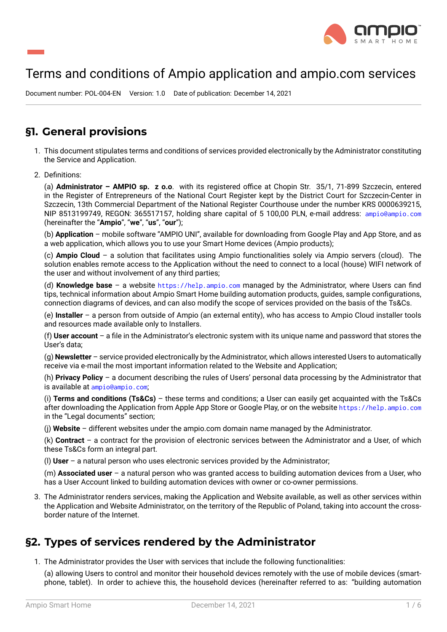

# Terms and conditions of Ampio application and ampio.com services

Document number: POL-004-EN Version: 1.0 Date of publication: December 14, 2021

#### **§1. General provisions**

- 1. This document stipulates terms and conditions of services provided electronically by the Administrator constituting the Service and Application.
- 2. Definitions:

(a) **Administrator – AMPIO sp. z o.o**. with its registered office at Chopin Str. 35/1, 71-899 Szczecin, entered in the Register of Entrepreneurs of the National Court Register kept by the District Court for Szczecin-Center in Szczecin, 13th Commercial Department of the National Register Courthouse under the number KRS 0000639215, NIP 8513199749, REGON: 365517157, holding share capital of 5 100,00 PLN, e-mail address: ampio@ampio.com (hereinafter the "**Ampio**", "**we**", "**us**", "**our**");

(b) **Application** – mobile software "AMPIO UNI", available for downloading from Google Play and App Store, and as a web application, which allows you to use your Smart Home devices (Ampio products);

(c) **Ampio Cloud** – a solution that facilitates using Ampio functionalities solely via Ampio serv[ers \(cloud\). The](mailto:ampio@ampio.com) solution enables remote access to the Application without the need to connect to a local (house) WIFI network of the user and without involvement of any third parties;

(d) **Knowledge base** – a website https://help.ampio.com managed by the Administrator, where Users can find tips, technical information about Ampio Smart Home building automation products, guides, sample configurations, connection diagrams of devices, and can also modify the scope of services provided on the basis of the Ts&Cs.

(e) **Installer** – a person from outside of Ampio (an external entity), who has access to Ampio Cloud installer tools and resources made available onl[y to Installers.](https://help.ampio.com)

(f) **User account** – a file in the Administrator's electronic system with its unique name and password that stores the User's data;

(g) **Newsletter** – service provided electronically by the Administrator, which allows interested Users to automatically receive via e-mail the most important information related to the Website and Application;

(h) **Privacy Policy** – a document describing the rules of Users' personal data processing by the Administrator that is available at ampio@ampio.com;

(i) **Terms and conditions (Ts&Cs)** – these terms and conditions; a User can easily get acquainted with the Ts&Cs after downloading the Application from Apple App Store or Google Play, or on the website https://help.ampio.com in the "Legal documents" section;

(j) **Website** – [different websites](ampio@ampio.com) under the ampio.com domain name managed by the Administrator.

(k) **Contract** – a contract for the provision of electronic services between the Administr[ator and a User, of which](https://help.ampio.com) these Ts&Cs form an integral part.

(l) **User** – a natural person who uses electronic services provided by the Administrator;

(m) **Associated user** – a natural person who was granted access to building automation devices from a User, who has a User Account linked to building automation devices with owner or co-owner permissions.

3. The Administrator renders services, making the Application and Website available, as well as other services within the Application and Website Administrator, on the territory of the Republic of Poland, taking into account the crossborder nature of the Internet.

## **§2. Types of services rendered by the Administrator**

1. The Administrator provides the User with services that include the following functionalities:

(a) allowing Users to control and monitor their household devices remotely with the use of mobile devices (smartphone, tablet). In order to achieve this, the household devices (hereinafter referred to as: "building automation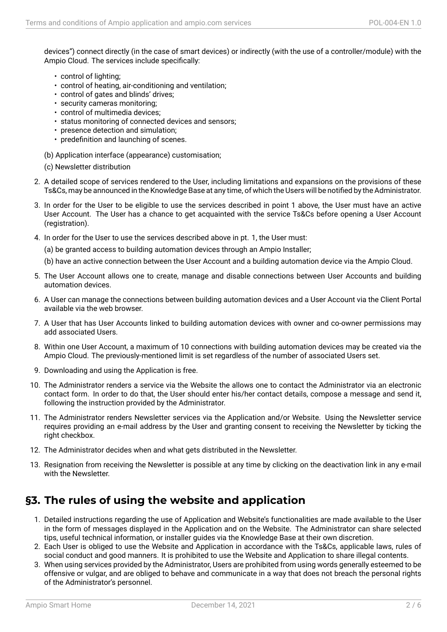devices") connect directly (in the case of smart devices) or indirectly (with the use of a controller/module) with the Ampio Cloud. The services include specifically:

- control of lighting;
- control of heating, air-conditioning and ventilation;
- control of gates and blinds' drives;
- security cameras monitoring;
- control of multimedia devices;
- status monitoring of connected devices and sensors;
- presence detection and simulation;
- predefinition and launching of scenes.
- (b) Application interface (appearance) customisation;
- (c) Newsletter distribution
- 2. A detailed scope of services rendered to the User, including limitations and expansions on the provisions of these Ts&Cs, may be announced in the Knowledge Base at any time, of which the Users will be notified by the Administrator.
- 3. In order for the User to be eligible to use the services described in point 1 above, the User must have an active User Account. The User has a chance to get acquainted with the service Ts&Cs before opening a User Account (registration).
- 4. In order for the User to use the services described above in pt. 1, the User must:
	- (a) be granted access to building automation devices through an Ampio Installer;
	- (b) have an active connection between the User Account and a building automation device via the Ampio Cloud.
- 5. The User Account allows one to create, manage and disable connections between User Accounts and building automation devices.
- 6. A User can manage the connections between building automation devices and a User Account via the Client Portal available via the web browser.
- 7. A User that has User Accounts linked to building automation devices with owner and co-owner permissions may add associated Users.
- 8. Within one User Account, a maximum of 10 connections with building automation devices may be created via the Ampio Cloud. The previously-mentioned limit is set regardless of the number of associated Users set.
- 9. Downloading and using the Application is free.
- 10. The Administrator renders a service via the Website the allows one to contact the Administrator via an electronic contact form. In order to do that, the User should enter his/her contact details, compose a message and send it, following the instruction provided by the Administrator.
- 11. The Administrator renders Newsletter services via the Application and/or Website. Using the Newsletter service requires providing an e-mail address by the User and granting consent to receiving the Newsletter by ticking the right checkbox.
- 12. The Administrator decides when and what gets distributed in the Newsletter.
- 13. Resignation from receiving the Newsletter is possible at any time by clicking on the deactivation link in any e-mail with the Newsletter.

#### **§3. The rules of using the website and application**

- 1. Detailed instructions regarding the use of Application and Website's functionalities are made available to the User in the form of messages displayed in the Application and on the Website. The Administrator can share selected tips, useful technical information, or installer guides via the Knowledge Base at their own discretion.
- 2. Each User is obliged to use the Website and Application in accordance with the Ts&Cs, applicable laws, rules of social conduct and good manners. It is prohibited to use the Website and Application to share illegal contents.
- 3. When using services provided by the Administrator, Users are prohibited from using words generally esteemed to be offensive or vulgar, and are obliged to behave and communicate in a way that does not breach the personal rights of the Administrator's personnel.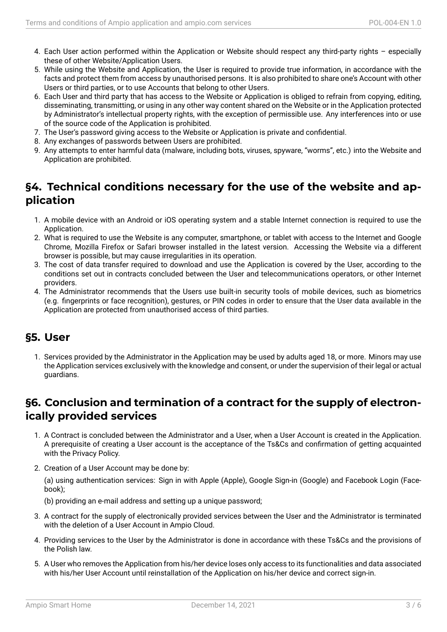- 4. Each User action performed within the Application or Website should respect any third-party rights especially these of other Website/Application Users.
- 5. While using the Website and Application, the User is required to provide true information, in accordance with the facts and protect them from access by unauthorised persons. It is also prohibited to share one's Account with other Users or third parties, or to use Accounts that belong to other Users.
- 6. Each User and third party that has access to the Website or Application is obliged to refrain from copying, editing, disseminating, transmitting, or using in any other way content shared on the Website or in the Application protected by Administrator's intellectual property rights, with the exception of permissible use. Any interferences into or use of the source code of the Application is prohibited.
- 7. The User's password giving access to the Website or Application is private and confidential.
- 8. Any exchanges of passwords between Users are prohibited.
- 9. Any attempts to enter harmful data (malware, including bots, viruses, spyware, "worms", etc.) into the Website and Application are prohibited.

## **§4. Technical conditions necessary for the use of the website and application**

- 1. A mobile device with an Android or iOS operating system and a stable Internet connection is required to use the Application.
- 2. What is required to use the Website is any computer, smartphone, or tablet with access to the Internet and Google Chrome, Mozilla Firefox or Safari browser installed in the latest version. Accessing the Website via a different browser is possible, but may cause irregularities in its operation.
- 3. The cost of data transfer required to download and use the Application is covered by the User, according to the conditions set out in contracts concluded between the User and telecommunications operators, or other Internet providers.
- 4. The Administrator recommends that the Users use built-in security tools of mobile devices, such as biometrics (e.g. fingerprints or face recognition), gestures, or PIN codes in order to ensure that the User data available in the Application are protected from unauthorised access of third parties.

#### **§5. User**

1. Services provided by the Administrator in the Application may be used by adults aged 18, or more. Minors may use the Application services exclusively with the knowledge and consent, or under the supervision of their legal or actual guardians.

### **§6. Conclusion and termination of a contract for the supply of electronically provided services**

- 1. A Contract is concluded between the Administrator and a User, when a User Account is created in the Application. A prerequisite of creating a User account is the acceptance of the Ts&Cs and confirmation of getting acquainted with the Privacy Policy.
- 2. Creation of a User Account may be done by:

(a) using authentication services: Sign in with Apple (Apple), Google Sign-in (Google) and Facebook Login (Facebook);

(b) providing an e-mail address and setting up a unique password;

- 3. A contract for the supply of electronically provided services between the User and the Administrator is terminated with the deletion of a User Account in Ampio Cloud.
- 4. Providing services to the User by the Administrator is done in accordance with these Ts&Cs and the provisions of the Polish law.
- 5. A User who removes the Application from his/her device loses only access to its functionalities and data associated with his/her User Account until reinstallation of the Application on his/her device and correct sign-in.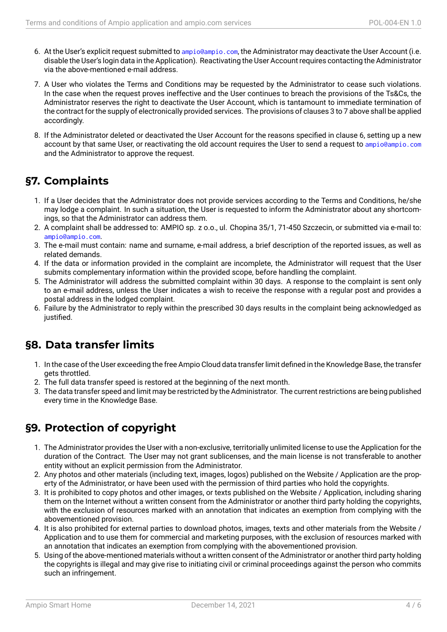- 6. At the User's explicit request submitted to ampio@ampio.com, the Administrator may deactivate the User Account (i.e. disable the User's login data in the Application). Reactivating the User Account requires contacting the Administrator via the above-mentioned e-mail address.
- 7. A User who violates the Terms and Con[ditions may be req](mailto:ampio@ampio.com)uested by the Administrator to cease such violations. In the case when the request proves ineffective and the User continues to breach the provisions of the Ts&Cs, the Administrator reserves the right to deactivate the User Account, which is tantamount to immediate termination of the contract for the supply of electronically provided services. The provisions of clauses 3 to 7 above shall be applied accordingly.
- 8. If the Administrator deleted or deactivated the User Account for the reasons specified in clause 6, setting up a new account by that same User, or reactivating the old account requires the User to send a request to ampio@ampio.com and the Administrator to approve the request.

### **§7. Complaints**

- 1. If a User decides that the Administrator does not provide services according to the Terms and Conditions, he/she may lodge a complaint. In such a situation, the User is requested to inform the Administrator about any shortcomings, so that the Administrator can address them.
- 2. A complaint shall be addressed to: AMPIO sp. z o.o., ul. Chopina 35/1, 71-450 Szczecin, or submitted via e-mail to: ampio@ampio.com.
- 3. The e-mail must contain: name and surname, e-mail address, a brief description of the reported issues, as well as related demands.
- 4. If the data or information provided in the complaint are incomplete, the Administrator will request that the User [submits complem](ampio@ampio.com)entary information within the provided scope, before handling the complaint.
- 5. The Administrator will address the submitted complaint within 30 days. A response to the complaint is sent only to an e-mail address, unless the User indicates a wish to receive the response with a regular post and provides a postal address in the lodged complaint.
- 6. Failure by the Administrator to reply within the prescribed 30 days results in the complaint being acknowledged as justified.

## **§8. Data transfer limits**

- 1. In the case of the User exceeding the free Ampio Cloud data transfer limit defined in the Knowledge Base, the transfer gets throttled.
- 2. The full data transfer speed is restored at the beginning of the next month.
- 3. The data transfer speed and limit may be restricted by the Administrator. The current restrictions are being published every time in the Knowledge Base.

## **§9. Protection of copyright**

- 1. The Administrator provides the User with a non-exclusive, territorially unlimited license to use the Application for the duration of the Contract. The User may not grant sublicenses, and the main license is not transferable to another entity without an explicit permission from the Administrator.
- 2. Any photos and other materials (including text, images, logos) published on the Website / Application are the property of the Administrator, or have been used with the permission of third parties who hold the copyrights.
- 3. It is prohibited to copy photos and other images, or texts published on the Website / Application, including sharing them on the Internet without a written consent from the Administrator or another third party holding the copyrights, with the exclusion of resources marked with an annotation that indicates an exemption from complying with the abovementioned provision.
- 4. It is also prohibited for external parties to download photos, images, texts and other materials from the Website / Application and to use them for commercial and marketing purposes, with the exclusion of resources marked with an annotation that indicates an exemption from complying with the abovementioned provision.
- 5. Using of the above-mentioned materials without a written consent of the Administrator or another third party holding the copyrights is illegal and may give rise to initiating civil or criminal proceedings against the person who commits such an infringement.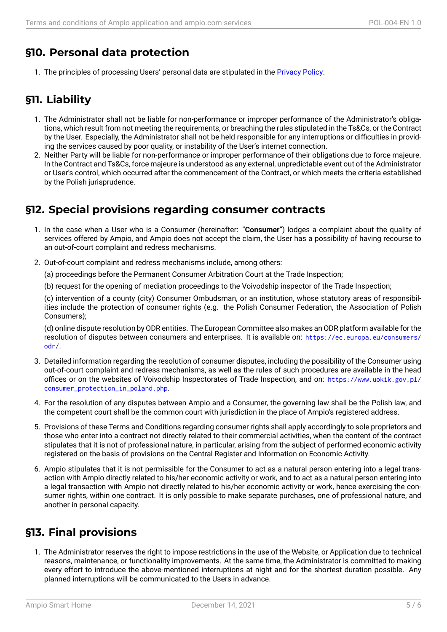## **§10. Personal data protection**

1. The principles of processing Users' personal data are stipulated in the Privacy Policy.

## **§11. Liability**

- 1. The Administrator shall not be liable for non-performance or improper performance of the Administrator's obligations, which result from not meeting the requirements, or breaching the rules stipulated in the Ts&Cs, or the Contract by the User. Especially, the Administrator shall not be held responsible for any interruptions or difficulties in providing the services caused by poor quality, or instability of the User's internet connection.
- 2. Neither Party will be liable for non-performance or improper performance of their obligations due to force majeure. In the Contract and Ts&Cs, force majeure is understood as any external, unpredictable event out of the Administrator or User's control, which occurred after the commencement of the Contract, or which meets the criteria established by the Polish jurisprudence.

### **§12. Special provisions regarding consumer contracts**

- 1. In the case when a User who is a Consumer (hereinafter: "**Consumer**") lodges a complaint about the quality of services offered by Ampio, and Ampio does not accept the claim, the User has a possibility of having recourse to an out-of-court complaint and redress mechanisms.
- 2. Out-of-court complaint and redress mechanisms include, among others:

(a) proceedings before the Permanent Consumer Arbitration Court at the Trade Inspection;

(b) request for the opening of mediation proceedings to the Voivodship inspector of the Trade Inspection;

(c) intervention of a county (city) Consumer Ombudsman, or an institution, whose statutory areas of responsibilities include the protection of consumer rights (e.g. the Polish Consumer Federation, the Association of Polish Consumers);

(d) online dispute resolution by ODR entities. The European Committee also makes an ODR platform available for the resolution of disputes between consumers and enterprises. It is available on: https://ec.europa.eu/consumers/ odr/.

- 3. Detailed information regarding the resolution of consumer disputes, including the possibility of the Consumer using out-of-court complaint and redress mechanisms, as well as the rules of such p[rocedures are available in the head](https://ec.europa.eu/consumers/odr/) [office](https://ec.europa.eu/consumers/odr/)s or on the websites of Voivodship Inspectorates of Trade Inspection, and on: https://www.uokik.gov.pl/ consumer\_protection\_in\_poland.php.
- 4. For the resolution of any disputes between Ampio and a Consumer, the governing law shall be the Polish law, and the competent court shall be the common court with jurisdiction in the place of Ampi[o's registered address.](https://www.uokik.gov.pl/consumer_protection_in_poland.php)
- 5. [Provisions of these Terms and Conditi](https://www.uokik.gov.pl/consumer_protection_in_poland.php)ons regarding consumer rights shall apply accordingly to sole proprietors and those who enter into a contract not directly related to their commercial activities, when the content of the contract stipulates that it is not of professional nature, in particular, arising from the subject of performed economic activity registered on the basis of provisions on the Central Register and Information on Economic Activity.
- 6. Ampio stipulates that it is not permissible for the Consumer to act as a natural person entering into a legal transaction with Ampio directly related to his/her economic activity or work, and to act as a natural person entering into a legal transaction with Ampio not directly related to his/her economic activity or work, hence exercising the consumer rights, within one contract. It is only possible to make separate purchases, one of professional nature, and another in personal capacity.

## **§13. Final provisions**

1. The Administrator reserves the right to impose restrictions in the use of the Website, or Application due to technical reasons, maintenance, or functionality improvements. At the same time, the Administrator is committed to making every effort to introduce the above-mentioned interruptions at night and for the shortest duration possible. Any planned interruptions will be communicated to the Users in advance.